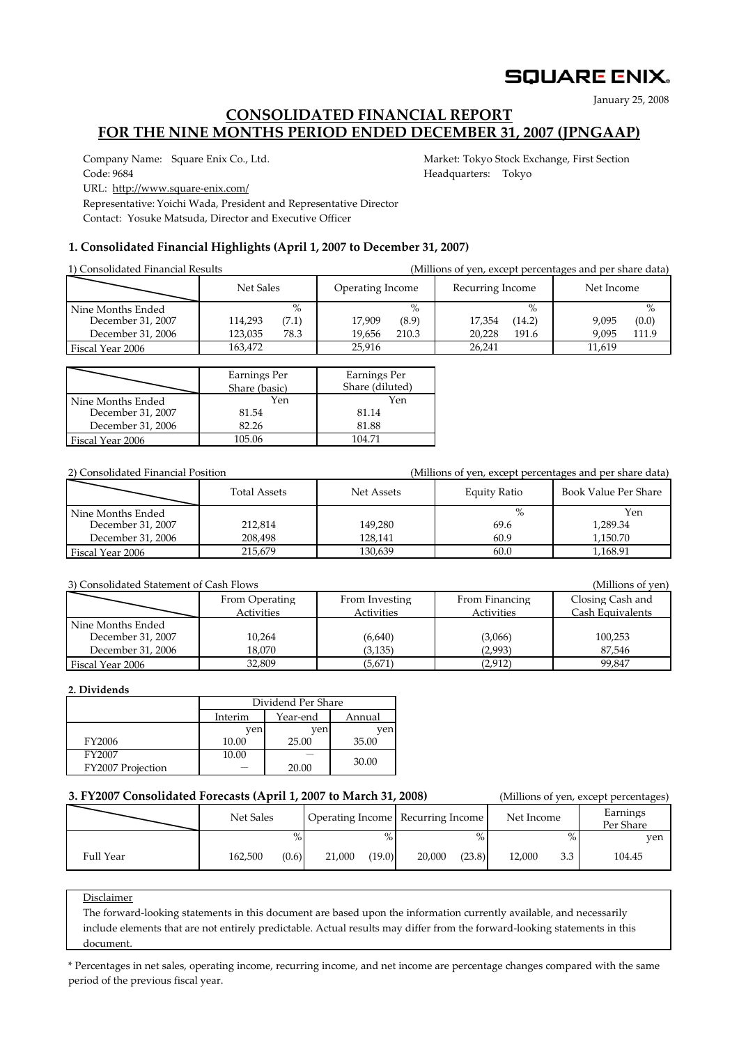# **SQUARE ENIX.**

January 25, 2008

# **CONSOLIDATED FINANCIAL REPORT FOR THE NINE MONTHS PERIOD ENDED DECEMBER 31, 2007 (JPNGAAP)**

Company Name: Square Enix Co., Ltd. Market: Tokyo Stock Exchange, First Section Code: 9684 **Headquarters:** Tokyo

URL: http://www.square‐enix.com/

Representative: Yoichi Wada, President and Representative Director

Contact: Yosuke Matsuda, Director and Executive Officer

## **1. Consolidated Financial Highlights (April 1, 2007 to December 31, 2007)**

| 1) Consolidated Financial Results                           |                                             |                                            | (Millions of yen, except percentages and per share data) |                                          |  |  |  |  |
|-------------------------------------------------------------|---------------------------------------------|--------------------------------------------|----------------------------------------------------------|------------------------------------------|--|--|--|--|
|                                                             | Net Sales                                   | Operating Income                           | Recurring Income                                         | Net Income                               |  |  |  |  |
| Nine Months Ended<br>December 31, 2007<br>December 31, 2006 | $\%$<br>114,293<br>(7.1)<br>78.3<br>123,035 | $\%$<br>(8.9)<br>17.909<br>210.3<br>19.656 | $\%$<br>(14.2)<br>17,354<br>191.6<br>20,228              | $\%$<br>(0.0)<br>9.095<br>111.9<br>9.095 |  |  |  |  |
| Fiscal Year 2006                                            | 163.472                                     | 25,916                                     | 26.241                                                   | 11.619                                   |  |  |  |  |

|                   | Earnings Per<br>Share (basic) | Earnings Per<br>Share (diluted) |
|-------------------|-------------------------------|---------------------------------|
| Nine Months Ended | Yen                           | Yen                             |
| December 31, 2007 | 81.54                         | 81.14                           |
| December 31, 2006 | 82.26                         | 81.88                           |
| Fiscal Year 2006  | 105.06                        | 104.71                          |

| 2) Consolidated Financial Position |                     |            | (Millions of yen, except percentages and per share data) |                      |  |  |  |
|------------------------------------|---------------------|------------|----------------------------------------------------------|----------------------|--|--|--|
|                                    | <b>Total Assets</b> | Net Assets | Equity Ratio                                             | Book Value Per Share |  |  |  |
| Nine Months Ended                  |                     |            | $\%$                                                     | Yen                  |  |  |  |
| December 31, 2007                  | 212,814             | 149,280    | 69.6                                                     | 1,289.34             |  |  |  |
| December 31, 2006                  | 208.498             | 128.141    | 60.9                                                     | 1.150.70             |  |  |  |
| Fiscal Year 2006                   | 215.679             | 130.639    | 60.0                                                     | 1.168.91             |  |  |  |

#### 3) Consolidated Statement of Cash Flows (Millions of yen)

|                                        | From Operating<br>Activities | From Investing<br>Activities | From Financing<br>Activities | Closing Cash and<br>Cash Equivalents |
|----------------------------------------|------------------------------|------------------------------|------------------------------|--------------------------------------|
| Nine Months Ended<br>December 31, 2007 | 10,264                       | (6,640)                      | (3,066)                      | 100,253                              |
| December 31, 2006                      | 18.070                       | (3, 135)                     | (2,993)                      | 87.546                               |
| Fiscal Year 2006                       | 32,809                       | (5,671)                      | (2,912)                      | 99.847                               |

### **2. Dividends**

|                   | Dividend Per Share |          |        |  |  |  |
|-------------------|--------------------|----------|--------|--|--|--|
|                   | Interim            | Year-end | Annual |  |  |  |
|                   | ven                | ven      |        |  |  |  |
| FY2006            | 10.00              | 25.00    | 35.00  |  |  |  |
| FY2007            | 10.00              |          | 30.00  |  |  |  |
| FY2007 Projection |                    | 20.00    |        |  |  |  |

## **3. FY2007 Consolidated Forecasts (April 1, 2007 to March 31, 2008)** (Millions of yen, except percentages)

|           | 0.1 1200, Consolidation Folceasts (110111 1, 200, to March 91, 2000) |       |        |        | $, e, e, e, e, e, e, \ldots, e, e,$ |        |            |        |                       |  |
|-----------|----------------------------------------------------------------------|-------|--------|--------|-------------------------------------|--------|------------|--------|-----------------------|--|
|           | Net Sales                                                            |       |        |        | Operating Income Recurring Income   |        | Net Income |        | Earnings<br>Per Share |  |
|           |                                                                      |       |        | $\%$   |                                     |        |            | $\%$ . | ven                   |  |
| Full Year | 162,500                                                              | (0.6) | 21,000 | (19.0) | 20,000                              | (23.8) | 12.000     | 3.3    | 104.45                |  |
|           |                                                                      |       |        |        |                                     |        |            |        |                       |  |

### **Disclaimer**

The forward-looking statements in this document are based upon the information currently available, and necessarily include elements that are not entirely predictable. Actual results may differ from the forward‐looking statements in this document document.

\* Percentages in net sales, operating income, recurring income, and net income are percentage changes compared with the same period of the previous fiscal year.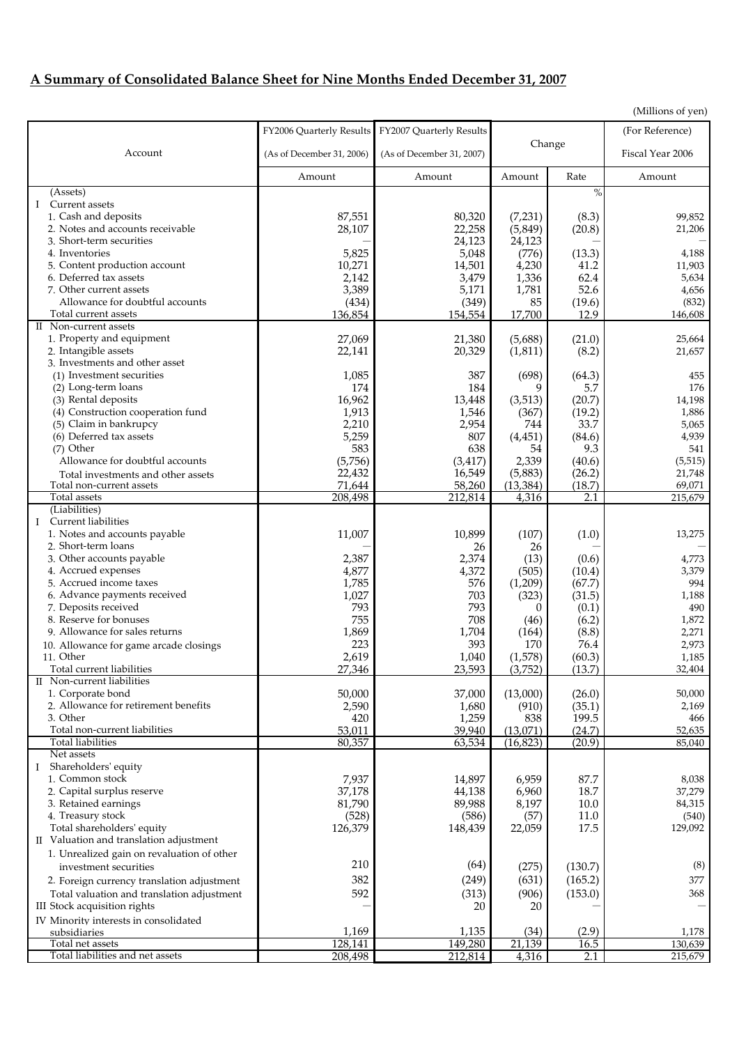# **A Summary of Consolidated Balance Sheet for Nine Months Ended December 31, 2007**

|                                                       |                           |                           |           |               | ( <i>ivililioris</i> of yen) |  |
|-------------------------------------------------------|---------------------------|---------------------------|-----------|---------------|------------------------------|--|
|                                                       | FY2006 Quarterly Results  | FY2007 Quarterly Results  |           |               | (For Reference)              |  |
| Account                                               |                           |                           |           | Change        | Fiscal Year 2006             |  |
|                                                       | (As of December 31, 2006) | (As of December 31, 2007) |           |               |                              |  |
|                                                       | Amount                    | Amount                    | Amount    | Rate          | Amount                       |  |
| (Assets)                                              |                           |                           |           | $\frac{0}{0}$ |                              |  |
| I Current assets                                      |                           |                           |           |               |                              |  |
| 1. Cash and deposits                                  | 87,551                    | 80,320                    | (7,231)   | (8.3)         | 99,852                       |  |
| 2. Notes and accounts receivable                      | 28,107                    | 22,258                    | (5, 849)  | (20.8)        | 21,206                       |  |
| 3. Short-term securities                              |                           | 24,123                    | 24,123    |               |                              |  |
| 4. Inventories                                        | 5,825                     | 5,048                     | (776)     | (13.3)        | 4,188                        |  |
| 5. Content production account                         | 10,271                    | 14,501                    | 4,230     | 41.2          | 11,903                       |  |
| 6. Deferred tax assets                                | 2,142                     | 3,479                     | 1,336     | 62.4          | 5,634                        |  |
| 7. Other current assets                               | 3,389                     | 5,171                     | 1,781     | 52.6          | 4,656                        |  |
| Allowance for doubtful accounts                       | (434)                     | (349)                     | 85        | (19.6)        | (832)                        |  |
| Total current assets<br>II Non-current assets         | 136,854                   | 154,554                   | 17,700    | 12.9          | 146,608                      |  |
| 1. Property and equipment                             | 27,069                    | 21,380                    | (5,688)   | (21.0)        | 25,664                       |  |
| 2. Intangible assets                                  | 22,141                    | 20,329                    | (1, 811)  | (8.2)         | 21,657                       |  |
| 3. Investments and other asset                        |                           |                           |           |               |                              |  |
| (1) Investment securities                             | 1,085                     | 387                       | (698)     | (64.3)        | 455                          |  |
| (2) Long-term loans                                   | 174                       | 184                       | 9         | 5.7           | 176                          |  |
| (3) Rental deposits                                   | 16,962                    | 13,448                    | (3,513)   | (20.7)        | 14,198                       |  |
| (4) Construction cooperation fund                     | 1,913                     | 1,546                     | (367)     | (19.2)        | 1,886                        |  |
| (5) Claim in bankrupcy                                | 2,210                     | 2,954                     | 744       | 33.7          | 5,065                        |  |
| (6) Deferred tax assets                               | 5,259                     | 807                       | (4, 451)  | (84.6)        | 4,939                        |  |
| $(7)$ Other                                           | 583                       | 638                       | 54        | 9.3           | 541                          |  |
| Allowance for doubtful accounts                       | (5,756)                   | (3, 417)                  | 2,339     | (40.6)        | (5, 515)                     |  |
| Total investments and other assets                    | 22,432                    | 16,549                    | (5,883)   | (26.2)        | 21,748                       |  |
| Total non-current assets<br>Total assets              | 71,644<br>208,498         | 58,260                    | (13, 384) | (18.7)        | 69,071                       |  |
| (Liabilities)                                         |                           | 212,814                   | 4,316     | 2.1           | 215,679                      |  |
| I Current liabilities                                 |                           |                           |           |               |                              |  |
| 1. Notes and accounts payable                         | 11,007                    | 10,899                    | (107)     | (1.0)         | 13,275                       |  |
| 2. Short-term loans                                   |                           | 26                        | 26        |               |                              |  |
| 3. Other accounts payable                             | 2,387                     | 2,374                     | (13)      | (0.6)         | 4,773                        |  |
| 4. Accrued expenses                                   | 4,877                     | 4,372                     | (505)     | (10.4)        | 3,379                        |  |
| 5. Accrued income taxes                               | 1,785                     | 576                       | (1,209)   | (67.7)        | 994                          |  |
| 6. Advance payments received                          | 1,027                     | 703                       | (323)     | (31.5)        | 1,188                        |  |
| 7. Deposits received                                  | 793                       | 793                       | $\Omega$  | (0.1)         | 490                          |  |
| 8. Reserve for bonuses                                | 755                       | 708                       | (46)      | (6.2)         | 1,872                        |  |
| 9. Allowance for sales returns                        | 1,869                     | 1,704                     | (164)     | (8.8)         | 2,271                        |  |
| 10. Allowance for game arcade closings                | 223                       | 393                       | 170       | 76.4          | 2,973                        |  |
| 11. Other<br>Total current liabilities                | 2,619<br>27,346           | 1,040                     | (1,578)   | (60.3)        | 1,185<br>32,404              |  |
| II Non-current liabilities                            |                           | 23,593                    | (3,752)   | (13.7)        |                              |  |
| 1. Corporate bond                                     | 50,000                    | 37,000                    | (13,000)  | (26.0)        | 50,000                       |  |
| 2. Allowance for retirement benefits                  | 2,590                     | 1,680                     | (910)     | (35.1)        | 2,169                        |  |
| 3. Other                                              | 420                       | 1,259                     | 838       | 199.5         | 466                          |  |
| Total non-current liabilities                         | 53,011                    | 39,940                    | (13,071)  | (24.7)        | 52,635                       |  |
| <b>Total liabilities</b>                              | 80,357                    | 63,534                    | (16, 823) | (20.9)        | 85,040                       |  |
| Net assets                                            |                           |                           |           |               |                              |  |
| Shareholders' equity<br>Ι.                            |                           |                           |           |               |                              |  |
| 1. Common stock                                       | 7,937                     | 14,897                    | 6,959     | 87.7          | 8,038                        |  |
| 2. Capital surplus reserve                            | 37,178                    | 44,138                    | 6,960     | 18.7          | 37,279                       |  |
| 3. Retained earnings                                  | 81,790                    | 89,988                    | 8,197     | 10.0          | 84,315                       |  |
| 4. Treasury stock<br>Total shareholders' equity       | (528)                     | (586)                     | (57)      | 11.0          | (540)                        |  |
|                                                       | 126,379                   | 148,439                   | 22,059    | 17.5          | 129,092                      |  |
| II Valuation and translation adjustment               |                           |                           |           |               |                              |  |
| 1. Unrealized gain on revaluation of other            | 210                       | (64)                      |           |               | (8)                          |  |
| investment securities                                 |                           |                           | (275)     | (130.7)       |                              |  |
| 2. Foreign currency translation adjustment            | 382                       | (249)                     | (631)     | (165.2)       | 377                          |  |
| Total valuation and translation adjustment            | 592                       | (313)                     | (906)     | (153.0)       | 368                          |  |
| III Stock acquisition rights                          |                           | 20                        | 20        |               |                              |  |
| IV Minority interests in consolidated<br>subsidiaries | 1,169                     | 1,135                     | (34)      | (2.9)         | 1,178                        |  |
| Total net assets                                      | 128,141                   | 149,280                   | 21,139    | 16.5          | 130,639                      |  |
| Total liabilities and net assets                      | 208,498                   | 212,814                   | 4,316     | 2.1           | 215,679                      |  |

(Millions of yen)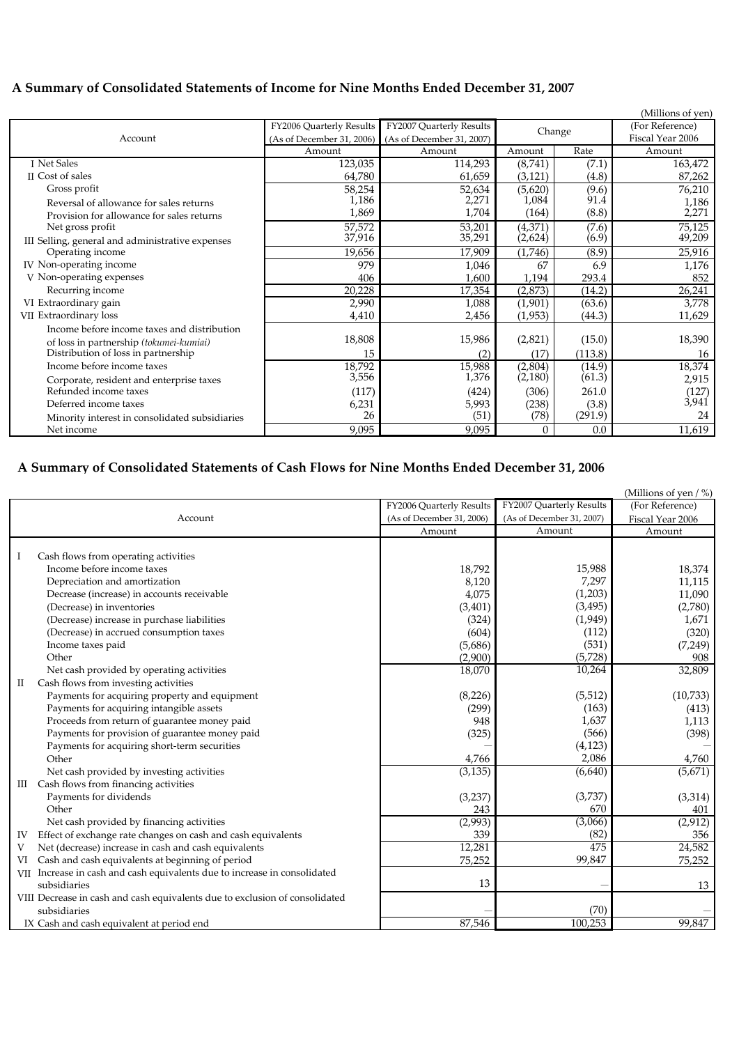# **A Summary of Consolidated Statements of Income for Nine Months Ended December 31, 2007**

|                                                  |                           |                           |          |         | (Millions of yen) |
|--------------------------------------------------|---------------------------|---------------------------|----------|---------|-------------------|
|                                                  | FY2006 Quarterly Results  | FY2007 Quarterly Results  | Change   |         | (For Reference)   |
| Account                                          | (As of December 31, 2006) | (As of December 31, 2007) |          |         | Fiscal Year 2006  |
|                                                  | Amount                    | Amount                    | Amount   | Rate    | Amount            |
| I Net Sales                                      | 123,035                   | 114,293                   | (8,741)  | (7.1)   | 163,472           |
| <b>II</b> Cost of sales                          | 64,780                    | 61,659                    | (3, 121) | (4.8)   | 87,262            |
| Gross profit                                     | 58,254                    | 52,634                    | (5,620)  | (9.6)   | 76,210            |
| Reversal of allowance for sales returns          | 1,186                     | 2,271                     | 1,084    | 91.4    | 1,186             |
| Provision for allowance for sales returns        | 1,869                     | 1,704                     | (164)    | (8.8)   | 2,271             |
| Net gross profit                                 | 57,572                    | 53,201                    | (4,371)  | (7.6)   | 75,125            |
| III Selling, general and administrative expenses | 37,916                    | 35,291                    | (2,624)  | (6.9)   | 49,209            |
| Operating income                                 | 19,656                    | 17,909                    | (1,746)  | (8.9)   | 25,916            |
| IV Non-operating income                          | 979                       | 1,046                     | 67       | 6.9     | 1,176             |
| V Non-operating expenses                         | 406                       | 1,600                     | 1,194    | 293.4   | 852               |
| Recurring income                                 | 20,228                    | 17,354                    | (2,873)  | (14.2)  | 26,241            |
| VI Extraordinary gain                            | 2,990                     | 1,088                     | (1,901)  | (63.6)  | 3,778             |
| VII Extraordinary loss                           | 4,410                     | 2,456                     | (1,953)  | (44.3)  | 11,629            |
| Income before income taxes and distribution      |                           |                           |          |         |                   |
| of loss in partnership (tokumei-kumiai)          | 18,808                    | 15,986                    | (2,821)  | (15.0)  | 18,390            |
| Distribution of loss in partnership              | 15                        | (2)                       | (17)     | (113.8) | 16                |
| Income before income taxes                       | 18,792                    | 15,988                    | (2,804)  | (14.9)  | 18,374            |
| Corporate, resident and enterprise taxes         | 3,556                     | 1,376                     | (2,180)  | (61.3)  | 2,915             |
| Refunded income taxes                            | (117)                     | (424)                     | (306)    | 261.0   | (127)             |
| Deferred income taxes                            | 6,231                     | 5,993                     | (238)    | (3.8)   | 3,941             |
| Minority interest in consolidated subsidiaries   | 26                        | (51)                      | (78)     | (291.9) | 24                |
| Net income                                       | 9,095                     | 9,095                     | $\Omega$ | 0.0     | 11,619            |

# **A Summary of Consolidated Statements of Cash Flows for Nine Months Ended December 31, 2006**

|    |                                                                             |                           |                           | (Millions of yen $/$ %) |
|----|-----------------------------------------------------------------------------|---------------------------|---------------------------|-------------------------|
|    |                                                                             | FY2006 Quarterly Results  | FY2007 Quarterly Results  | (For Reference)         |
|    | Account                                                                     | (As of December 31, 2006) | (As of December 31, 2007) | Fiscal Year 2006        |
|    |                                                                             | Amount                    | Amount                    | Amount                  |
|    |                                                                             |                           |                           |                         |
| -1 | Cash flows from operating activities                                        |                           |                           |                         |
|    | Income before income taxes                                                  | 18,792                    | 15,988                    | 18,374                  |
|    | Depreciation and amortization                                               | 8,120                     | 7,297                     | 11,115                  |
|    | Decrease (increase) in accounts receivable                                  | 4,075                     | (1,203)                   | 11,090                  |
|    | (Decrease) in inventories                                                   | (3, 401)                  | (3, 495)                  | (2,780)                 |
|    | (Decrease) increase in purchase liabilities                                 | (324)                     | (1,949)                   | 1,671                   |
|    | (Decrease) in accrued consumption taxes                                     | (604)                     | (112)                     | (320)                   |
|    | Income taxes paid                                                           | (5,686)                   | (531)                     | (7,249)                 |
|    | Other                                                                       | (2,900)                   | (5,728)                   | 908                     |
|    | Net cash provided by operating activities                                   | 18,070                    | 10,264                    | 32,809                  |
| П  | Cash flows from investing activities                                        |                           |                           |                         |
|    | Payments for acquiring property and equipment                               | (8, 226)                  | (5, 512)                  | (10, 733)               |
|    | Payments for acquiring intangible assets                                    | (299)                     | (163)                     | (413)                   |
|    | Proceeds from return of guarantee money paid                                | 948                       | 1,637                     | 1,113                   |
|    | Payments for provision of guarantee money paid                              | (325)                     | (566)                     | (398)                   |
|    | Payments for acquiring short-term securities                                |                           | (4, 123)                  |                         |
|    | Other                                                                       | 4,766                     | 2,086                     | 4,760                   |
|    | Net cash provided by investing activities                                   | (3, 135)                  | (6,640)                   | (5,671)                 |
| Ш  | Cash flows from financing activities                                        |                           |                           |                         |
|    | Payments for dividends                                                      | (3, 237)                  | (3,737)                   | (3, 314)                |
|    | Other                                                                       | 243                       | 670                       | 401                     |
|    | Net cash provided by financing activities                                   | (2,993)                   | (3,066)                   | (2, 912)                |
| IV | Effect of exchange rate changes on cash and cash equivalents                | 339                       | (82)                      | 356                     |
| V  | Net (decrease) increase in cash and cash equivalents                        | 12,281                    | 475                       | 24,582                  |
| VI | Cash and cash equivalents at beginning of period                            | 75,252                    | 99,847                    | 75,252                  |
|    | VII Increase in cash and cash equivalents due to increase in consolidated   |                           |                           |                         |
|    | subsidiaries                                                                | 13                        |                           | 13                      |
|    | VIII Decrease in cash and cash equivalents due to exclusion of consolidated |                           |                           |                         |
|    | subsidiaries                                                                |                           | (70)                      |                         |
|    | IX Cash and cash equivalent at period end                                   | 87,546                    | 100,253                   | 99,847                  |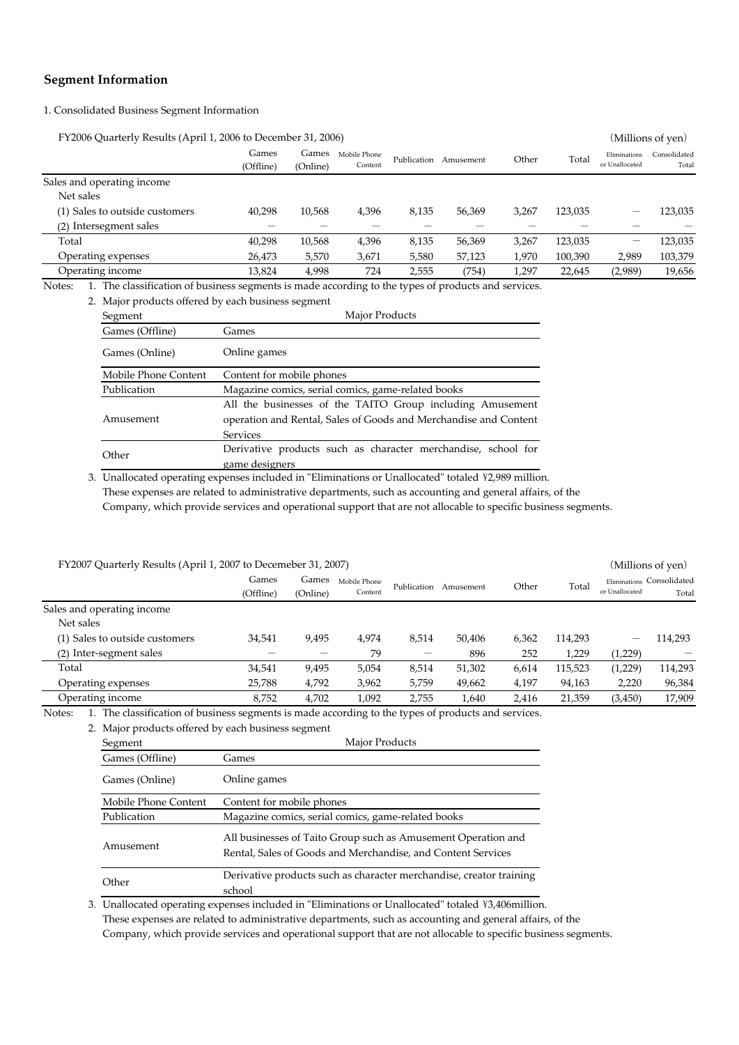## **Segment Information**

#### 1. Consolidated Business Segment Information

FY2006 Quarterly Results (April 1, 2006 to December 31, 2006) (Millions of yen)

|                                | Games<br>(Offline) | Games<br>(Online) | Mobile Phone<br>Content | Publication | Amusement | Other | Total   | Eliminations<br>or Unallocated | Consolidated<br>Total |
|--------------------------------|--------------------|-------------------|-------------------------|-------------|-----------|-------|---------|--------------------------------|-----------------------|
| Sales and operating income     |                    |                   |                         |             |           |       |         |                                |                       |
| Net sales                      |                    |                   |                         |             |           |       |         |                                |                       |
| (1) Sales to outside customers | 40,298             | 10,568            | 4,396                   | 8,135       | 56,369    | 3,267 | 123,035 | -                              | 123,035               |
| (2) Intersegment sales         |                    |                   |                         |             |           |       |         |                                |                       |
| Total                          | 40,298             | 10,568            | 4,396                   | 8,135       | 56,369    | 3,267 | 123,035 | –                              | 123,035               |
| Operating expenses             | 26,473             | 5,570             | 3,671                   | 5,580       | 57,123    | 1,970 | 100,390 | 2,989                          | 103,379               |
| Operating income               | 13,824             | 4,998             | 724                     | 2,555       | (754)     | 1,297 | 22,645  | (2,989)                        | 19,656                |
|                                |                    |                   |                         |             |           |       |         |                                |                       |

Notes: 1. The classification of business segments is made according to the types of products and services.

2. Major products offered by each business segment

| Segment              | Major Products                                                   |  |  |  |  |
|----------------------|------------------------------------------------------------------|--|--|--|--|
| Games (Offline)      | Games                                                            |  |  |  |  |
| Games (Online)       | Online games                                                     |  |  |  |  |
| Mobile Phone Content | Content for mobile phones                                        |  |  |  |  |
| Publication          | Magazine comics, serial comics, game-related books               |  |  |  |  |
|                      | All the businesses of the TAITO Group including Amusement        |  |  |  |  |
| Amusement            | operation and Rental, Sales of Goods and Merchandise and Content |  |  |  |  |
|                      | <b>Services</b>                                                  |  |  |  |  |
| Other                | Derivative products such as character merchandise, school for    |  |  |  |  |
|                      | game designers                                                   |  |  |  |  |
|                      |                                                                  |  |  |  |  |

3. Unallocated operating expenses included in "Eliminations or Unallocated" totaled ¥2,989 million. These expenses are related to administrative departments, such as accounting and general affairs, of the Company, which provide services and operational support that are not allocable to specific business segments.

| FY2007 Quarterly Results (April 1, 2007 to Decemeber 31, 2007) |                    |                   |                         |             |           |       |         | (Millions of yen) |                                    |
|----------------------------------------------------------------|--------------------|-------------------|-------------------------|-------------|-----------|-------|---------|-------------------|------------------------------------|
|                                                                | Games<br>(Offline) | Games<br>(Online) | Mobile Phone<br>Content | Publication | Amusement | Other | Total   | or Unallocated    | Eliminations Consolidated<br>Total |
| Sales and operating income                                     |                    |                   |                         |             |           |       |         |                   |                                    |
| Net sales                                                      |                    |                   |                         |             |           |       |         |                   |                                    |
| (1) Sales to outside customers                                 | 34,541             | 9,495             | 4,974                   | 8,514       | 50,406    | 6,362 | 114,293 | —                 | 114,293                            |
| (2) Inter-segment sales                                        |                    |                   | 79                      | –           | 896       | 252   | 1,229   | (1,229)           |                                    |
| Total                                                          | 34,541             | 9,495             | 5,054                   | 8,514       | 51,302    | 6,614 | 115,523 | (1,229)           | 114,293                            |
| Operating expenses                                             | 25,788             | 4,792             | 3,962                   | 5,759       | 49,662    | 4,197 | 94,163  | 2.220             | 96,384                             |
| Operating income                                               | 8.752              | 4.702             | 1.092                   | 2.755       | 1.640     | 2.416 | 21,359  | (3,450)           | 17.909                             |

Notes: 1. The classification of business segments is made according to the types of products and services.

|  |  | 2. Major products offered by each business segment |
|--|--|----------------------------------------------------|
|  |  |                                                    |

| Segment              | Major Products                                                                                                                |  |  |  |  |
|----------------------|-------------------------------------------------------------------------------------------------------------------------------|--|--|--|--|
| Games (Offline)      | Games                                                                                                                         |  |  |  |  |
| Games (Online)       | Online games                                                                                                                  |  |  |  |  |
| Mobile Phone Content | Content for mobile phones                                                                                                     |  |  |  |  |
| Publication          | Magazine comics, serial comics, game-related books                                                                            |  |  |  |  |
| Amusement            | All businesses of Taito Group such as Amusement Operation and<br>Rental, Sales of Goods and Merchandise, and Content Services |  |  |  |  |
| Other                | Derivative products such as character merchandise, creator training<br>school                                                 |  |  |  |  |

3. Unallocated operating expenses included in "Eliminations or Unallocated" totaled \43,406million. These expenses are related to administrative departments, such as accounting and general affairs, of the Company, which provide services and operational support that are not allocable to specific business segments.